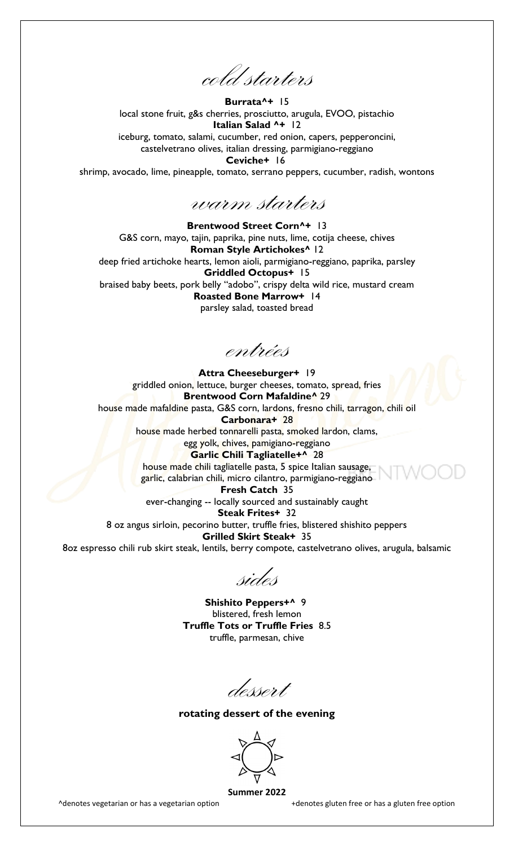cold starters

**Burrata^+** 15 local stone fruit, g&s cherries, prosciutto, arugula, EVOO, pistachio **Italian Salad ^+** 12 iceburg, tomato, salami, cucumber, red onion, capers, pepperoncini, castelvetrano olives, italian dressing, parmigiano-reggiano **Ceviche+** 16 shrimp, avocado, lime, pineapple, tomato, serrano peppers, cucumber, radish, wontons

warm starters

**Brentwood Street Corn^+** 13 G&S corn, mayo, tajin, paprika, pine nuts, lime, cotija cheese, chives **Roman Style Artichokes^** 12 deep fried artichoke hearts, lemon aioli, parmigiano-reggiano, paprika, parsley **Griddled Octopus+** 15 braised baby beets, pork belly "adobo", crispy delta wild rice, mustard cream **Roasted Bone Marrow+** 14 parsley salad, toasted bread

entrées

**Attra Cheeseburger+** 19 griddled onion, lettuce, burger cheeses, tomato, spread, fries **Brentwood Corn Mafaldine^** 29 house made mafaldine pasta, G&S corn, lardons, fresno chili, tarragon, chili oil **Carbonara+** 28 house made herbed tonnarelli pasta, smoked lardon, clams, egg yolk, chives, pamigiano-reggiano **Garlic Chili Tagliatelle+^** 28 house made chili tagliatelle pasta, 5 spice Italian sausage, garlic, calabrian chili, micro cilantro, parmigiano-reggiano **Fresh Catch** 35 ever-changing -- locally sourced and sustainably caught **Steak Frites+** 32 8 oz angus sirloin, pecorino butter, truffle fries, blistered shishito peppers **Grilled Skirt Steak+** 35 8oz espresso chili rub skirt steak, lentils, berry compote, castelvetrano olives, arugula, balsamic

sides

**Shishito Peppers+^** 9 blistered, fresh lemon **Truffle Tots or Truffle Fries** 8.5 truffle, parmesan, chive

dessert

**rotating dessert of the evening** 



**Summer 2022**

^denotes vegetarian or has a vegetarian option +denotes gluten free or has a gluten free option